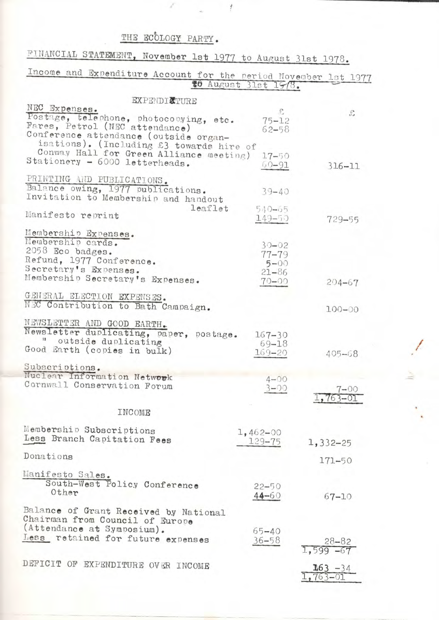## THE ECOLOGY PARTY.

 $\frac{1}{2}$ 

| FINANCIAL STATEMENT, November 1st 1977 to August 31st 1978.              |                             |                             |
|--------------------------------------------------------------------------|-----------------------------|-----------------------------|
| Income and Expenditure Account for the period November 1st 1977          |                             |                             |
|                                                                          | <b>#0</b> August 31st 1978. |                             |
| <b>EXPENDICTURE</b>                                                      |                             |                             |
| NEC Expenses.                                                            |                             | $\mathcal{E}$               |
| Postage, telephone, photocopying, etc.<br>Fares, Petrol (NEC attendance) | $75 - 12$                   |                             |
| Conference attendance (outside organ-                                    | $62 - 58$                   |                             |
| isations). (Including £3 towards hire of                                 |                             |                             |
| Conway Hall for Green Alliance meeting)                                  | $17 - 50$                   |                             |
| Stationery - 6000 letterheads.                                           | $00 - 91$                   | $316 - 11$                  |
| PRINTING AND PUBLICATIONS.                                               |                             |                             |
| Balance owing, 1977 publications.                                        | $39 - 40$                   |                             |
| Invitation to Membership and handout                                     |                             |                             |
| Manifesto reprint                                                        | leaflet<br>$540 - 65$       |                             |
|                                                                          | 149-50                      | 729-55                      |
| Membership Expenses.                                                     |                             |                             |
| Membership cards.                                                        | $30 - 02$                   |                             |
| 2058 Eco badges.<br>Refund, 1977 Conference.                             | $77 - 79$                   |                             |
| Secretary's Expenses.                                                    | $5 - 00$                    |                             |
| Membership Secretary's Expenses.                                         | $21 - 86$<br>$70 - 00$      | $204 - 67$                  |
|                                                                          |                             |                             |
| GENERAL ELECTION EXPENSES.                                               |                             |                             |
| NEC Contribution to Bath Campaign.                                       |                             | $100 - 00$                  |
| NEWSLETTER AND GOOD EARTH.                                               |                             |                             |
| Newsletter duplicating, paper, postage.                                  | $167 - 30$                  |                             |
| " outside duplicating                                                    | 69-18                       |                             |
| Good Earth (copies in bulk)                                              | $169 - 20$                  | 405-68                      |
| Subscriptions.                                                           |                             |                             |
| Nuclear Information Network                                              | $4 - 00$                    |                             |
| Cornwall Conservation Forum                                              | $3 - 00$                    | 7–00                        |
|                                                                          |                             | $1,763-$                    |
| INCOME                                                                   |                             |                             |
|                                                                          |                             |                             |
| Membership Subscriptions<br>Less Branch Capitation Fees                  | $1,462 - 00$                |                             |
|                                                                          | $129 - 75$                  | $1,332 - 25$                |
| Donations                                                                |                             | 171-50                      |
| Manifesto Sales.                                                         |                             |                             |
| South-West Policy Conference                                             | $22 - 50$                   |                             |
| Other                                                                    | $44 - 60$                   | $67 - 10$                   |
|                                                                          |                             |                             |
| Balance of Grant Received by National                                    |                             |                             |
| Chairman from Council of Europe<br>(Attendance at Symposium).            | 65-40                       |                             |
| Less retained for future expenses                                        | $36 - 58$                   |                             |
|                                                                          |                             | $28 - 82$<br>$1,599 - 67$   |
|                                                                          |                             |                             |
| DEFICIT OF EXPENDITURE OVER INCOME                                       |                             | $\frac{163 - 34}{763 - 01}$ |
|                                                                          |                             |                             |